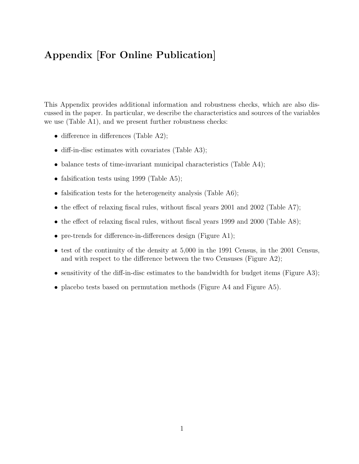## Appendix [For Online Publication]

This Appendix provides additional information and robustness checks, which are also discussed in the paper. In particular, we describe the characteristics and sources of the variables we use (Table A1), and we present further robustness checks:

- difference in differences (Table A2);
- diff-in-disc estimates with covariates (Table A3);
- balance tests of time-invariant municipal characteristics (Table A4);
- falsification tests using 1999 (Table A5);
- falsification tests for the heterogeneity analysis (Table A6);
- the effect of relaxing fiscal rules, without fiscal years 2001 and 2002 (Table A7);
- the effect of relaxing fiscal rules, without fiscal years 1999 and 2000 (Table A8);
- pre-trends for difference-in-differences design (Figure A1);
- test of the continuity of the density at 5,000 in the 1991 Census, in the 2001 Census, and with respect to the difference between the two Censuses (Figure A2);
- sensitivity of the diff-in-disc estimates to the bandwidth for budget items (Figure A3);
- placebo tests based on permutation methods (Figure A4 and Figure A5).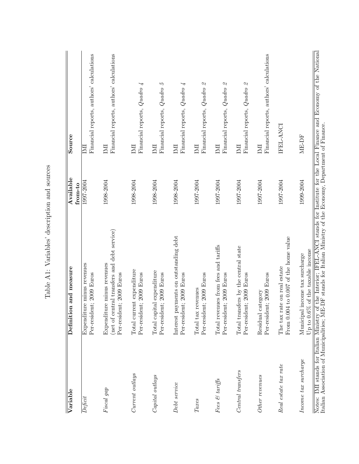| Variable             | Definition and measure                                                                                                                                                                                                         | Available<br>from-to | Source                                                                                            |
|----------------------|--------------------------------------------------------------------------------------------------------------------------------------------------------------------------------------------------------------------------------|----------------------|---------------------------------------------------------------------------------------------------|
| Define it            | Expenditure minus revenues<br>Per-resident; 2009 Euros                                                                                                                                                                         | 1997-2004            | Financial reports, authors' calculations<br>呂                                                     |
| Fiscal gap           | (net of central transfers and debt service)<br>Expenditure minus revenues<br>Per-resident; 2009 Euros                                                                                                                          | 1998-2004            | Financial reports, authors' calculations<br>IMI                                                   |
| Current outlays      | Total current expenditure<br>Per-resident; 2009 Euros                                                                                                                                                                          | 1998-2004            | Financial reports, Quadro 4<br>IMI                                                                |
| Capital outlays      | Total capital expenditure<br>Per-resident; 2009 Euros                                                                                                                                                                          | 1998-2004            | Financial reports, $Quadro5$<br>$\mathbb N$                                                       |
| Debt service         | payments on outstanding debt<br>Per-resident; 2009 Euros<br>Interest                                                                                                                                                           | 1998-2004            | Financial reports, Quadro 4<br>IMI                                                                |
| Taxes                | Per-resident; 2009 Euros<br>Total tax revenues                                                                                                                                                                                 | 1997-2004            | Financial reports, $Quadro$ 2<br>$\mathbb N$                                                      |
| Fees & tariffs       | Total revenues from fees and tariffs<br>Per-resident; 2009 Euros                                                                                                                                                               | 1997-2004            | Financial reports, $Quadro$ 2<br>$\mathbb N$                                                      |
| Central transfers    | Total transfers by the central state<br>Per-resident; 2009 Euros                                                                                                                                                               | 1997-2004            | Financial reports, $Quadro$ 2<br>$\mathbb N$                                                      |
| Other revenues       | Per-resident; 2009 Euros<br>category<br>Residual                                                                                                                                                                               | 1997-2004            | Financial reports, authors' calculations<br>$\mathbb N$                                           |
| Real estate tax rate | From 0.004 to 0.007 of the home value<br>rate on real estate<br>The tax                                                                                                                                                        | 1997-2004            | IFEL-ANCI                                                                                         |
| Income tax surcharge | Up to 0.6% of the taxable income<br>Municipal income tax surcharge                                                                                                                                                             | 1999-2004            | ME-DF                                                                                             |
|                      | Notes: IMI stands for Italian Ministry of the Interior; IFEL-ANCI stands for Institute for the Local Finance an Italian Association of Municipalities; ME-DF stands for Italian Ministry of the Economy, Department of Finance |                      | of the Interior; IFEL-ANCI stands for Institute for the Local Finance and Economy of the National |

Table A1: Variables' description and sources Table A1: Variables' description and sources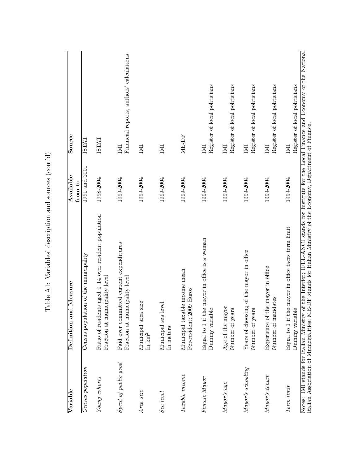| Variable             | Definition and Measure                                                                  | Available<br>from-to | Source                                          |
|----------------------|-----------------------------------------------------------------------------------------|----------------------|-------------------------------------------------|
| $Census$ population  | ion of the municipality<br>Census populat                                               | 1991 and 2001        | ISTAT                                           |
| Young cohorts        | Ratio of residents aged 0-14 over resident population<br>Fraction at municipality level | 1998-2004            | <b>ISTAT</b>                                    |
| Speed of public good | Paid over committed current expenditures<br>Fraction at municipality level              | 1999-2004            | Financial reports, authors' calculations<br>IMI |
| Area size            | size<br>Municipal area<br>$\ln \mathrm{km}^2$                                           | 1999-2004            | INI                                             |
| Sea level            | Municipal sea level<br>In meters                                                        | 1999-2004            | INI                                             |
| Taxable income       | Municipal taxable income mean<br>Per-resident; 2009 Euros                               | 1999-2004            | ME-DF                                           |
| Female Mayor         | Equal to 1 if the mayor in office is a woman<br>Dummy variable                          | 1999-2004            | Register of local politicians<br>$\mathbb N$    |
| Mayor's age          | Age of the mayor<br>Number of years                                                     | 1999-2004            | Register of local politicians<br>$\mathbb N$    |
| Mayor's schooling    | Years of choosing of the mayor in office<br>Number of years                             | 1999-2004            | Register of local politicians<br>$\mathbb N$    |
| Mayor's tenure       | Experience of the mayor in office<br>Number of mandates                                 | 1999-2004            | Register of local politicians<br>IMI            |
| Term limit           | Equal to 1 if the mayor in office faces term limit<br>Dummy variable                    | 1999-2004            | Register of local politicians<br>$\mathbb N$    |

Table A1: Variables' description and sources ( $\operatorname{cont}^{\wr}\operatorname{d}$ Table A1: Variables' description and sources (cont'd)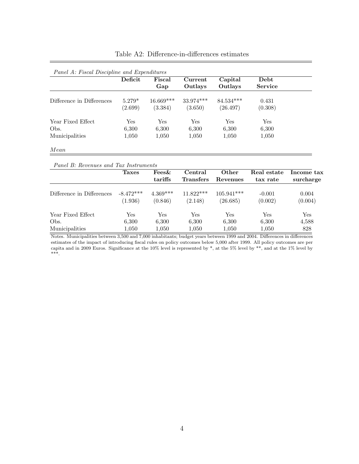|                           | Deficit  | Fiscal      | Current     | Capital     | Debt           |
|---------------------------|----------|-------------|-------------|-------------|----------------|
|                           |          | Gap         | Outlays     | Outlays     | <b>Service</b> |
| Difference in Differences | $5.279*$ | $16.669***$ | $33.974***$ | $84.534***$ | 0.431          |
|                           | (2.699)  | (3.384)     | (3.650)     | (26.497)    | (0.308)        |
| Year Fixed Effect         | Yes      | <b>Yes</b>  | Yes         | Yes         | Yes            |
| Obs.                      | 6,300    | 6,300       | 6,300       | 6,300       | 6,300          |
| Municipalities            | 1,050    | 1,050       | 1,050       | 1,050       | 1,050          |

## Table A2: Difference-in-differences estimates

## Panel B: Revenues and Tax Instruments

|                           | <b>Taxes</b>           | Fees&<br>tariffs      | Central<br><b>Transfers</b> | Other<br>Revenues        | Real estate<br>tax rate | Income tax<br>surcharge |
|---------------------------|------------------------|-----------------------|-----------------------------|--------------------------|-------------------------|-------------------------|
| Difference in Differences | $-8.472***$<br>(1.936) | $4.369***$<br>(0.846) | $11.822***$<br>(2.148)      | $105.941***$<br>(26.685) | $-0.001$<br>(0.002)     | 0.004<br>(0.004)        |
| Year Fixed Effect         | Yes                    | Yes                   | Yes                         | Yes                      | Yes                     | Yes                     |
| Obs.                      | 6,300                  | 6,300                 | 6,300                       | 6,300                    | 6,300                   | 4,588                   |
| Municipalities            | 1,050                  | 1,050                 | 1,050                       | 1,050                    | 1,050                   | 828                     |

Notes. Municipalities between 3,500 and 7,000 inhabitants; budget years between 1999 and 2004. Differences in differences estimates of the impact of introducing fiscal rules on policy outcomes below 5,000 after 1999. All policy outcomes are per capita and in 2009 Euros. Significance at the 10% level is represented by \*, at the 5% level by \*\*, and at the 1% level by \*\*\*.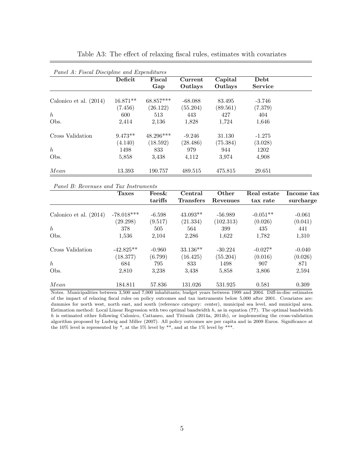|                          | Deficit    | Fiscal      | Current   | Capital  | Debt           |  |
|--------------------------|------------|-------------|-----------|----------|----------------|--|
|                          |            | Gap         | Outlays   | Outlays  | <b>Service</b> |  |
| Calonico et al. $(2014)$ | $16.871**$ | 68.857***   | $-68.088$ | 83.495   | $-3.746$       |  |
|                          | (7.456)    | (26.122)    | (55.204)  | (89.561) | (7.379)        |  |
| $\hbar$                  | 600        | 513         | 443       | 427      | 404            |  |
| Obs.                     | 2,414      | 2,136       | 1,828     | 1,724    | 1,646          |  |
| Cross Validation         | $9.473**$  | $48.296***$ | $-9.246$  | 31.130   | $-1.275$       |  |
|                          | (4.140)    | (18.592)    | (28.486)  | (75.384) | (3.028)        |  |
| h                        | 1498       | 833         | 979       | 944      | 1202           |  |
| Obs.                     | 5,858      | 3.438       | 4,112     | 3.974    | 4,908          |  |
| Mean                     | 13.393     | 190.757     | 489.515   | 475.815  | 29.651         |  |

Table A3: The effect of relaxing fiscal rules, estimates with covariates

Panel B: Revenues and Tax Instruments

|                          | <b>Taxes</b> | Fees&    | Central          | Other     | Real estate | Income tax |
|--------------------------|--------------|----------|------------------|-----------|-------------|------------|
|                          |              | tariffs  | <b>Transfers</b> | Revenues  | tax rate    | surcharge  |
| Calonico et al. $(2014)$ | $-78.018***$ | $-6.598$ | $43.093**$       | $-56.989$ | $-0.051**$  | $-0.061$   |
|                          | (29.298)     | (9.517)  | (21.334)         | (102.313) | (0.026)     | (0.041)    |
| $\boldsymbol{h}$         | 378          | 505      | 564              | 399       | 435         | 441        |
| Obs.                     | 1,536        | 2,104    | 2,286            | 1,622     | 1,782       | 1,310      |
| Cross Validation         | $-42.825**$  | $-0.960$ | $33.136**$       | $-30.224$ | $-0.027*$   | $-0.040$   |
|                          | (18.377)     | (6.799)  | (16.425)         | (55.204)  | (0.016)     | (0.026)    |
| $\hbar$                  | 684          | 795      | 833              | 1498      | 907         | 871        |
| Obs.                     | 2,810        | 3,238    | 3,438            | 5,858     | 3,806       | 2,594      |
| Mean                     | 184.811      | 57.836   | 131.026          | 531.925   | 0.581       | 0.309      |

Notes. Municipalities between 3,500 and 7,000 inhabitants; budget years between 1999 and 2004. Diff-in-disc estimates of the impact of relaxing fiscal rules on policy outcomes and tax instruments below 5,000 after 2001. Covariates are: dummies for north west, north east, and south (reference category: center), municipal sea level, and municipal area. Estimation method: Local Linear Regression with two optimal bandwidth  $h$ , as in equation  $(??)$ . The optimal bandwidth h is estimated either following Calonico, Cattaneo, and Titiunik (2014a, 2014b), or implementing the cross-validation algorithm proposed by Ludwig and Miller (2007). All policy outcomes are per capita and in 2009 Euros. Significance at the 10% level is represented by  $*$ , at the 5% level by  $**$ , and at the 1% level by  $***$ .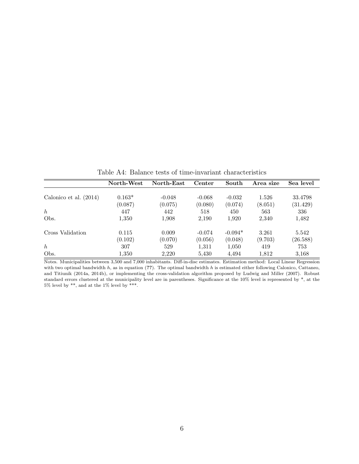|                          | North-West | North-East | Center   | South     | Area size | Sea level |
|--------------------------|------------|------------|----------|-----------|-----------|-----------|
|                          |            |            |          |           |           |           |
| Calonico et al. $(2014)$ | $0.163*$   | $-0.048$   | $-0.068$ | $-0.032$  | 1.526     | 33.4798   |
|                          | (0.087)    | (0.075)    | (0.080)  | (0.074)   | (8.051)   | (31.429)  |
| $\hbar$                  | 447        | 442        | 518      | 450       | 563       | 336       |
| Obs.                     | 1,350      | 1,908      | 2,190    | 1,920     | 2,340     | 1,482     |
| Cross Validation         | 0.115      | 0.009      | $-0.074$ | $-0.094*$ | 3.261     | 5.542     |
|                          | (0.102)    | (0.070)    | (0.056)  | (0.048)   | (9.703)   | (26.588)  |
| $\hbar$                  | 307        | 529        | 1,311    | 1,050     | 419       | 753       |
| Obs.                     | 1,350      | 2,220      | 5,430    | 4,494     | 1,812     | 3,168     |

Table A4: Balance tests of time-invariant characteristics

Notes. Municipalities between 3,500 and 7,000 inhabitants. Diff-in-disc estimates. Estimation method: Local Linear Regression with two optimal bandwidth  $h$ , as in equation (??). The optimal bandwidth  $h$  is estimated either following Calonico, Cattaneo, and Titiunik (2014a, 2014b), or implementing the cross-validation algorithm proposed by Ludwig and Miller (2007). Robust standard errors clustered at the municipality level are in parentheses. Significance at the 10% level is represented by \*, at the  $5\%$  level by \*\*, and at the  $1\%$  level by \*\*\*.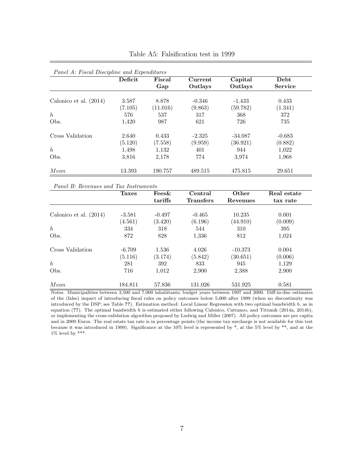|                          | Deficit | Fiscal   | Current  | Capital   | Debt           |
|--------------------------|---------|----------|----------|-----------|----------------|
|                          |         | Gap      | Outlays  | Outlays   | <b>Service</b> |
| Calonico et al. $(2014)$ | 3.587   | 8.878    | $-0.346$ | $-1.433$  | 0.433          |
|                          | (7.105) | (11.016) | (9.863)  | (59.782)  | (1.341)        |
| $\boldsymbol{h}$         | 576     | 537      | 317      | 368       | 372            |
| Obs.                     | 1,420   | 987      | 621      | 726       | 735            |
| Cross Validation         | 2.640   | 0.433    | $-2.325$ | $-34.087$ | $-0.683$       |
|                          | (5.120) | (7.558)  | (9.959)  | (36.921)  | (0.882)        |
| $\hbar$                  | 1,498   | 1,132    | 401      | 944       | 1,022          |
| Obs.                     | 3,816   | 2,178    | 774      | 3,974     | 1.968          |
| Mean                     | 13.393  | 190.757  | 489.515  | 475.815   | 29.651         |

Table A5: Falsification test in 1999

Panel B: Revenues and Tax Instruments

|                          | <b>Taxes</b> | Fees&    | Central          | Other     | Real estate |
|--------------------------|--------------|----------|------------------|-----------|-------------|
|                          |              | tariffs  | <b>Transfers</b> | Revenues  | tax rate    |
|                          |              |          |                  |           |             |
| Calonico et al. $(2014)$ | $-3.581$     | $-0.497$ | $-0.465$         | 10.235    | 0.001       |
|                          | (4.561)      | (3.420)  | (6.196)          | (44.910)  | (0.009)     |
| $\hbar$                  | 334          | 318      | 544              | 310       | 395         |
| Obs.                     | 872          | 828      | 1,336            | 812       | 1,024       |
| Cross Validation         | $-6.709$     | 1.536    | 4.026            | $-10.373$ | 0.004       |
|                          | (5.116)      | (3.174)  | (5.842)          | (30.651)  | (0.006)     |
| $\hbar$                  | 281          | 392      | 833              | 945       | 1,129       |
| Obs.                     | 716          | 1,012    | 2,900            | 2,388     | 2,900       |
| Mean                     | 184.811      | 57.836   | 131.026          | 531.925   | 0.581       |

Notes. Municipalities between 3,500 and 7,000 inhabitants; budget years between 1997 and 2000. Diff-in-disc estimates of the (false) impact of introducing fiscal rules on policy outcomes below 5,000 after 1999 (when no discontinuity was introduced by the DSP; see Table ??). Estimation method: Local Linear Regression with two optimal bandwidth  $h$ , as in equation (??). The optimal bandwidth  $h$  is estimated either following Calonico, Cattaneo, and Titiunik (2014a, 2014b), or implementing the cross-validation algorithm proposed by Ludwig and Miller (2007). All policy outcomes are per capita and in 2009 Euros. The real estate tax rate is in percentage points (the income tax surcharge is not available for this test because it was introduced in 1999). Significance at the 10% level is represented by \*, at the 5% level by \*\*, and at the  $1\%$  level by \*\*\*.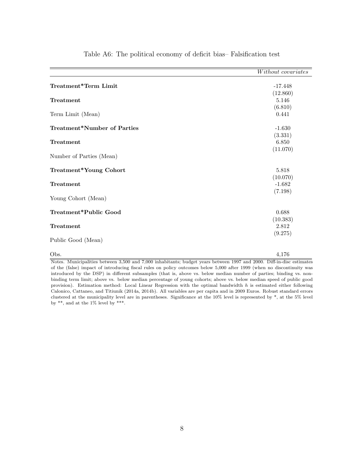|                             | Without covariates |
|-----------------------------|--------------------|
| Treatment*Term Limit        | $-17.448$          |
|                             | (12.860)           |
| Treatment                   | 5.146              |
|                             | (6.810)            |
| Term Limit (Mean)           | 0.441              |
| Treatment*Number of Parties | $-1.630$           |
|                             | (3.331)            |
| Treatment                   | 6.850              |
|                             | (11.070)           |
| Number of Parties (Mean)    |                    |
| Treatment*Young Cohort      | 5.818              |
|                             | (10.070)           |
| Treatment                   | $-1.682$           |
|                             | (7.198)            |
| Young Cohort (Mean)         |                    |
| Treatment*Public Good       | 0.688              |
|                             | (10.383)           |
| Treatment                   | 2.812              |
|                             | (9.275)            |
| Public Good (Mean)          |                    |
| Obs.                        | 4,176              |

Table A6: The political economy of deficit bias– Falsification test

Notes. Municipalities between 3,500 and 7,000 inhabitants; budget years between 1997 and 2000. Diff-in-disc estimates of the (false) impact of introducing fiscal rules on policy outcomes below 5,000 after 1999 (when no discontinuity was introduced by the DSP) in different subsamples (that is, above vs. below median number of parties; binding vs. nonbinding term limit; above vs. below median percentage of young cohorts; above vs. below median speed of public good provision). Estimation method: Local Linear Regression with the optimal bandwidth h is estimated either following Calonico, Cattaneo, and Titiunik (2014a, 2014b). All variables are per capita and in 2009 Euros. Robust standard errors clustered at the municipality level are in parentheses. Significance at the 10% level is represented by \*, at the 5% level by  $**$ , and at the 1% level by  $***$ .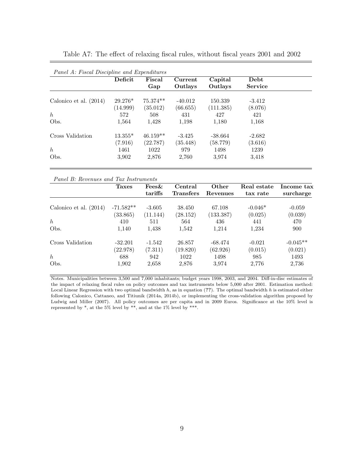| Panel A: Fiscal Discipline and Expenditures | Deficit   | Fiscal     | Current   | Capital   | Debt           |  |
|---------------------------------------------|-----------|------------|-----------|-----------|----------------|--|
|                                             |           | Gap        | Outlays   | Outlays   | <b>Service</b> |  |
| Calonico et al. $(2014)$                    | $29.276*$ | 75.374**   | $-40.012$ | 150.339   | $-3.412$       |  |
|                                             | (14.999)  | (35.012)   | (66.655)  | (111.385) | (8.076)        |  |
| $\hbar$                                     | 572       | 508        | 431       | 427       | 421            |  |
| Obs.                                        | 1,564     | 1,428      | 1,198     | 1,180     | 1,168          |  |
| Cross Validation                            | $13.355*$ | $46.159**$ | $-3.425$  | $-38.664$ | $-2.682$       |  |
|                                             | (7.916)   | (22.787)   | (35.448)  | (58.779)  | (3.616)        |  |
| $\hbar$                                     | 1461      | 1022       | 979       | 1498      | 1239           |  |
| Obs.                                        | 3,902     | 2,876      | 2,760     | 3,974     | 3,418          |  |

Table A7: The effect of relaxing fiscal rules, without fiscal years 2001 and 2002

|                          | <b>Taxes</b> | Fees&    | Central          | Other     | Real estate | Income tax |
|--------------------------|--------------|----------|------------------|-----------|-------------|------------|
|                          |              | tariffs  | <b>Transfers</b> | Revenues  | tax rate    | surcharge  |
| Calonico et al. $(2014)$ | $-71.582**$  | $-3.605$ | 38.450           | 67.108    | $-0.046*$   | $-0.059$   |
|                          | (33.865)     | (11.144) | (28.152)         | (133.387) | (0.025)     | (0.039)    |
| $\hbar$                  | 410          | 511      | 564              | 436       | 441         | 470        |
| Obs.                     | 1.140        | 1,438    | 1.542            | 1,214     | 1,234       | 900        |
| Cross Validation         | $-32.201$    | $-1.542$ | 26.857           | $-68.474$ | $-0.021$    | $-0.045**$ |
|                          | (22.978)     | (7.311)  | (19.820)         | (62.926)  | (0.015)     | (0.021)    |
| h                        | 688          | 942      | 1022             | 1498      | 985         | 1493       |
| Obs.                     | 1,902        | 2,658    | 2,876            | 3,974     | 2,776       | 2,736      |

Notes. Municipalities between 3,500 and 7,000 inhabitants; budget years 1998, 2003, and 2004. Diff-in-disc estimates of the impact of relaxing fiscal rules on policy outcomes and tax instruments below 5,000 after 2001. Estimation method: Local Linear Regression with two optimal bandwidth  $h$ , as in equation (??). The optimal bandwidth  $h$  is estimated either following Calonico, Cattaneo, and Titiunik (2014a, 2014b), or implementing the cross-validation algorithm proposed by Ludwig and Miller (2007). All policy outcomes are per capita and in 2009 Euros. Significance at the 10% level is represented by  $*$ , at the 5% level by  $**$ , and at the 1% level by  $***$ .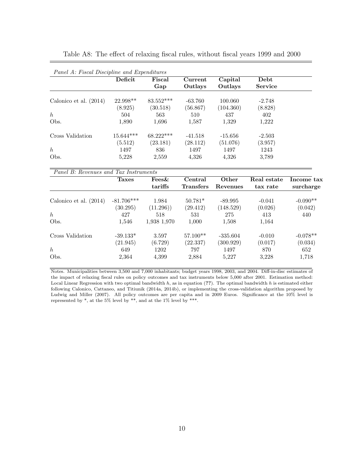|                          | Deficit     | Fiscal      | Current   | Capital   | Debt           |
|--------------------------|-------------|-------------|-----------|-----------|----------------|
|                          |             | Gap         | Outlays   | Outlays   | <b>Service</b> |
| Calonico et al. $(2014)$ | $22.998**$  | $83.552***$ | $-63.760$ | 100.060   | $-2.748$       |
|                          | (8.925)     | (30.518)    | (56.867)  | (104.360) | (8.828)        |
| h                        | 504         | 563         | 510       | 437       | 402            |
| Obs.                     | 1,890       | 1,696       | 1,587     | 1,329     | 1,222          |
| Cross Validation         | $15.644***$ | $68.222***$ | $-41.518$ | $-15.656$ | $-2.503$       |
|                          | (5.512)     | (23.181)    | (28.112)  | (51.076)  | (3.957)        |
| $\hbar$                  | 1497        | 836         | 1497      | 1497      | 1243           |
| Obs.                     | 5,228       | 2,559       | 4,326     | 4,326     | 3,789          |

Table A8: The effect of relaxing fiscal rules, without fiscal years 1999 and 2000

| Panel B: Revenues and Tax Instruments |              |             |                             |                   |                         |                         |  |  |  |  |
|---------------------------------------|--------------|-------------|-----------------------------|-------------------|-------------------------|-------------------------|--|--|--|--|
|                                       | <b>Taxes</b> | Fees&       | Central<br><b>Transfers</b> | Other<br>Revenues | Real estate<br>tax rate | Income tax<br>surcharge |  |  |  |  |
|                                       |              | tariffs     |                             |                   |                         |                         |  |  |  |  |
| Calonico et al. $(2014)$              | $-81.706***$ | 1.984       | $50.781*$                   | $-89.995$         | $-0.041$                | $-0.090**$              |  |  |  |  |
|                                       | (30.295)     | (11.296)    | (29.412)                    | (148.529)         | (0.026)                 | (0.042)                 |  |  |  |  |
| $\boldsymbol{h}$                      | 427          | 518         | 531                         | 275               | 413                     | 440                     |  |  |  |  |
| Obs.                                  | 1,546        | 1,938 1,970 | 1,000                       | 1,508             | 1,164                   |                         |  |  |  |  |
| Cross Validation                      | $-39.133*$   | 3.597       | $57.100**$                  | $-335.604$        | $-0.010$                | $-0.078**$              |  |  |  |  |
|                                       | (21.945)     | (6.729)     | (22.337)                    | (300.929)         | (0.017)                 | (0.034)                 |  |  |  |  |
| $\hbar$                               | 649          | 1202        | 797                         | 1497              | 870                     | 652                     |  |  |  |  |
| Obs.                                  | 2,364        | 4,399       | 2,884                       | 5.227             | 3,228                   | 1,718                   |  |  |  |  |

Notes. Municipalities between 3,500 and 7,000 inhabitants; budget years 1998, 2003, and 2004. Diff-in-disc estimates of the impact of relaxing fiscal rules on policy outcomes and tax instruments below 5,000 after 2001. Estimation method: Local Linear Regression with two optimal bandwidth  $h$ , as in equation (??). The optimal bandwidth  $h$  is estimated either following Calonico, Cattaneo, and Titiunik (2014a, 2014b), or implementing the cross-validation algorithm proposed by Ludwig and Miller (2007). All policy outcomes are per capita and in 2009 Euros. Significance at the 10% level is represented by \*, at the 5% level by \*\*, and at the 1% level by \*\*\*.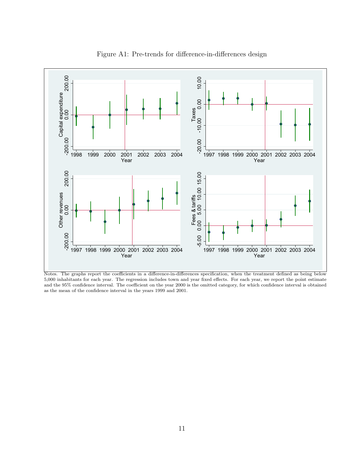

Figure A1: Pre-trends for difference-in-differences design

Notes. The graphs report the coefficients in a difference-in-differences specification, when the treatment defined as being below 5,000 inhabitants for each year. The regression includes town and year fixed effects. For each year, we report the point estimate and the 95% confidence interval. The coefficient on the year 2000 is the omitted category, for which confidence interval is obtained as the mean of the confidence interval in the years 1999 and 2001.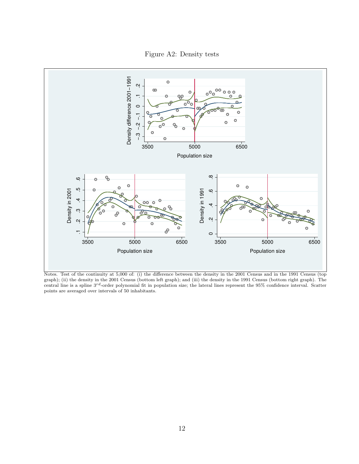



Notes. Test of the continuity at 5,000 of: (i) the difference between the density in the 2001 Census and in the 1991 Census (top graph); (ii) the density in the 2001 Census (bottom left graph); and (iii) the density in the 1991 Census (bottom right graph). The central line is a spline 3<sup>rd</sup>-order polynomial fit in population size; the lateral lines represent the 95% confidence interval. Scatter points are averaged over intervals of 50 inhabitants.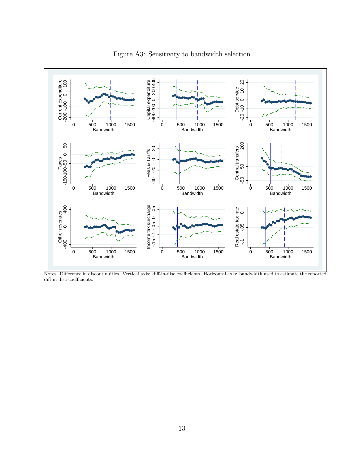

Figure A3: Sensitivity to bandwidth selection

Notes. Difference in discontinuities. Vertical axis: diff-in-disc coefficients. Horizontal axis: bandwidth used to estimate the reported diff-in-disc coefficients.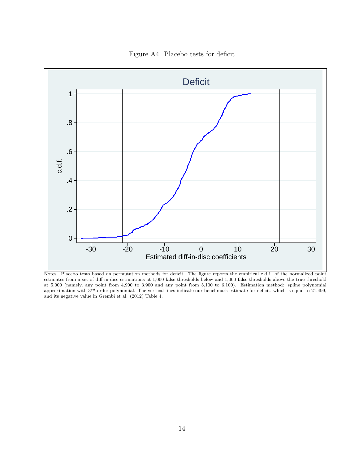

Figure A4: Placebo tests for deficit

Notes. Placebo tests based on permutation methods for deficit. The figure reports the empirical c.d.f. of the normalized point estimates from a set of diff-in-disc estimations at 1,000 false thresholds below and 1,000 false thresholds above the true threshold at 5,000 (namely, any point from 4,900 to 3,900 and any point from 5,100 to 6,100). Estimation method: spline polynomial approximation with  $3^{rd}$ -order polynomial. The vertical lines indicate our benchmark estimate for deficit, which is equal to 21.499, and its negative value in Grembi et al. (2012) Table 4.